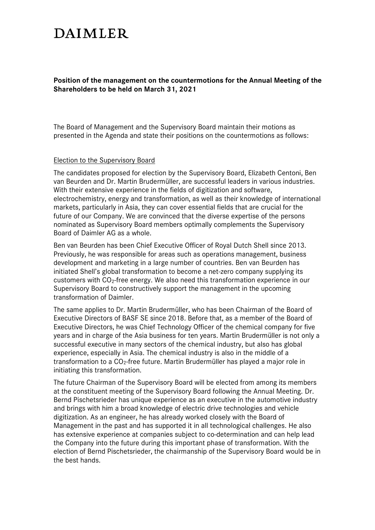# **DAIMLER**

**Position of the management on the countermotions for the Annual Meeting of the Shareholders to be held on March 31, 2021**

The Board of Management and the Supervisory Board maintain their motions as presented in the Agenda and state their positions on the countermotions as follows:

#### Election to the Supervisory Board

The candidates proposed for election by the Supervisory Board, Elizabeth Centoni, Ben van Beurden and Dr. Martin Brudermüller, are successful leaders in various industries. With their extensive experience in the fields of digitization and software, electrochemistry, energy and transformation, as well as their knowledge of international markets, particularly in Asia, they can cover essential fields that are crucial for the future of our Company. We are convinced that the diverse expertise of the persons nominated as Supervisory Board members optimally complements the Supervisory Board of Daimler AG as a whole.

Ben van Beurden has been Chief Executive Officer of Royal Dutch Shell since 2013. Previously, he was responsible for areas such as operations management, business development and marketing in a large number of countries. Ben van Beurden has initiated Shell's global transformation to become a net-zero company supplying its customers with  $CO<sub>2</sub>$ -free energy. We also need this transformation experience in our Supervisory Board to constructively support the management in the upcoming transformation of Daimler.

The same applies to Dr. Martin Brudermüller, who has been Chairman of the Board of Executive Directors of BASF SE since 2018. Before that, as a member of the Board of Executive Directors, he was Chief Technology Officer of the chemical company for five years and in charge of the Asia business for ten years. Martin Brudermüller is not only a successful executive in many sectors of the chemical industry, but also has global experience, especially in Asia. The chemical industry is also in the middle of a transformation to a  $CO<sub>2</sub>$ -free future. Martin Brudermüller has played a major role in initiating this transformation.

The future Chairman of the Supervisory Board will be elected from among its members at the constituent meeting of the Supervisory Board following the Annual Meeting. Dr. Bernd Pischetsrieder has unique experience as an executive in the automotive industry and brings with him a broad knowledge of electric drive technologies and vehicle digitization. As an engineer, he has already worked closely with the Board of Management in the past and has supported it in all technological challenges. He also has extensive experience at companies subject to co-determination and can help lead the Company into the future during this important phase of transformation. With the election of Bernd Pischetsrieder, the chairmanship of the Supervisory Board would be in the best hands.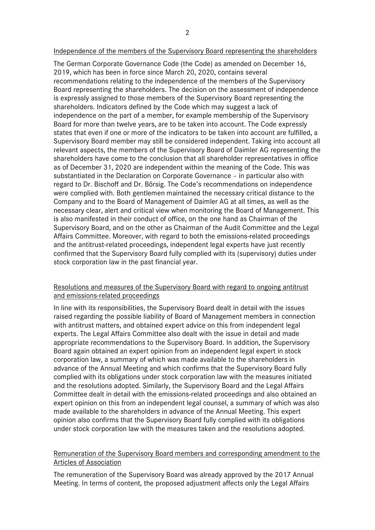Independence of the members of the Supervisory Board representing the shareholders

The German Corporate Governance Code (the Code) as amended on December 16, 2019, which has been in force since March 20, 2020, contains several recommendations relating to the independence of the members of the Supervisory Board representing the shareholders. The decision on the assessment of independence is expressly assigned to those members of the Supervisory Board representing the shareholders. Indicators defined by the Code which may suggest a lack of independence on the part of a member, for example membership of the Supervisory Board for more than twelve years, are to be taken into account. The Code expressly states that even if one or more of the indicators to be taken into account are fulfilled, a Supervisory Board member may still be considered independent. Taking into account all relevant aspects, the members of the Supervisory Board of Daimler AG representing the shareholders have come to the conclusion that all shareholder representatives in office as of December 31, 2020 are independent within the meaning of the Code. This was substantiated in the Declaration on Corporate Governance – in particular also with regard to Dr. Bischoff and Dr. Börsig. The Code's recommendations on independence were complied with. Both gentlemen maintained the necessary critical distance to the Company and to the Board of Management of Daimler AG at all times, as well as the necessary clear, alert and critical view when monitoring the Board of Management. This is also manifested in their conduct of office, on the one hand as Chairman of the Supervisory Board, and on the other as Chairman of the Audit Committee and the Legal Affairs Committee. Moreover, with regard to both the emissions-related proceedings and the antitrust-related proceedings, independent legal experts have just recently confirmed that the Supervisory Board fully complied with its (supervisory) duties under stock corporation law in the past financial year.

# Resolutions and measures of the Supervisory Board with regard to ongoing antitrust and emissions-related proceedings

In line with its responsibilities, the Supervisory Board dealt in detail with the issues raised regarding the possible liability of Board of Management members in connection with antitrust matters, and obtained expert advice on this from independent legal experts. The Legal Affairs Committee also dealt with the issue in detail and made appropriate recommendations to the Supervisory Board. In addition, the Supervisory Board again obtained an expert opinion from an independent legal expert in stock corporation law, a summary of which was made available to the shareholders in advance of the Annual Meeting and which confirms that the Supervisory Board fully complied with its obligations under stock corporation law with the measures initiated and the resolutions adopted. Similarly, the Supervisory Board and the Legal Affairs Committee dealt in detail with the emissions-related proceedings and also obtained an expert opinion on this from an independent legal counsel, a summary of which was also made available to the shareholders in advance of the Annual Meeting. This expert opinion also confirms that the Supervisory Board fully complied with its obligations under stock corporation law with the measures taken and the resolutions adopted.

# Remuneration of the Supervisory Board members and corresponding amendment to the Articles of Association

The remuneration of the Supervisory Board was already approved by the 2017 Annual Meeting. In terms of content, the proposed adjustment affects only the Legal Affairs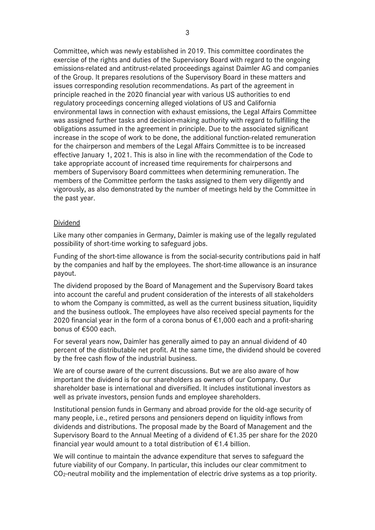Committee, which was newly established in 2019. This committee coordinates the exercise of the rights and duties of the Supervisory Board with regard to the ongoing emissions-related and antitrust-related proceedings against Daimler AG and companies of the Group. It prepares resolutions of the Supervisory Board in these matters and issues corresponding resolution recommendations. As part of the agreement in principle reached in the 2020 financial year with various US authorities to end regulatory proceedings concerning alleged violations of US and California environmental laws in connection with exhaust emissions, the Legal Affairs Committee was assigned further tasks and decision-making authority with regard to fulfilling the obligations assumed in the agreement in principle. Due to the associated significant increase in the scope of work to be done, the additional function-related remuneration for the chairperson and members of the Legal Affairs Committee is to be increased effective January 1, 2021. This is also in line with the recommendation of the Code to take appropriate account of increased time requirements for chairpersons and members of Supervisory Board committees when determining remuneration. The members of the Committee perform the tasks assigned to them very diligently and vigorously, as also demonstrated by the number of meetings held by the Committee in the past year.

#### Dividend

Like many other companies in Germany, Daimler is making use of the legally regulated possibility of short-time working to safeguard jobs.

Funding of the short-time allowance is from the social-security contributions paid in half by the companies and half by the employees. The short-time allowance is an insurance payout.

The dividend proposed by the Board of Management and the Supervisory Board takes into account the careful and prudent consideration of the interests of all stakeholders to whom the Company is committed, as well as the current business situation, liquidity and the business outlook. The employees have also received special payments for the 2020 financial year in the form of a corona bonus of €1,000 each and a profit-sharing bonus of €500 each.

For several years now, Daimler has generally aimed to pay an annual dividend of 40 percent of the distributable net profit. At the same time, the dividend should be covered by the free cash flow of the industrial business.

We are of course aware of the current discussions. But we are also aware of how important the dividend is for our shareholders as owners of our Company. Our shareholder base is international and diversified. It includes institutional investors as well as private investors, pension funds and employee shareholders.

Institutional pension funds in Germany and abroad provide for the old-age security of many people, i.e., retired persons and pensioners depend on liquidity inflows from dividends and distributions. The proposal made by the Board of Management and the Supervisory Board to the Annual Meeting of a dividend of €1.35 per share for the 2020 financial year would amount to a total distribution of €1.4 billion.

We will continue to maintain the advance expenditure that serves to safeguard the future viability of our Company. In particular, this includes our clear commitment to  $CO<sub>2</sub>$ -neutral mobility and the implementation of electric drive systems as a top priority.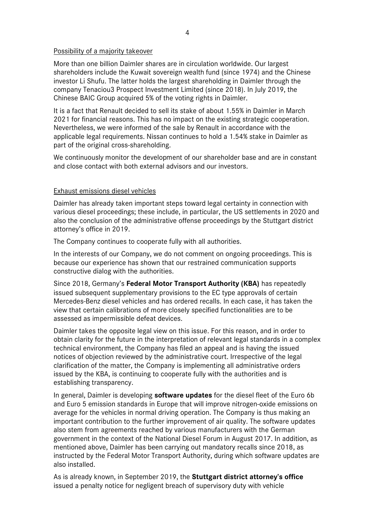## Possibility of a majority takeover

More than one billion Daimler shares are in circulation worldwide. Our largest shareholders include the Kuwait sovereign wealth fund (since 1974) and the Chinese investor Li Shufu. The latter holds the largest shareholding in Daimler through the company Tenaciou3 Prospect Investment Limited (since 2018). In July 2019, the Chinese BAIC Group acquired 5% of the voting rights in Daimler.

It is a fact that Renault decided to sell its stake of about 1.55% in Daimler in March 2021 for financial reasons. This has no impact on the existing strategic cooperation. Nevertheless, we were informed of the sale by Renault in accordance with the applicable legal requirements. Nissan continues to hold a 1.54% stake in Daimler as part of the original cross-shareholding.

We continuously monitor the development of our shareholder base and are in constant and close contact with both external advisors and our investors.

## Exhaust emissions diesel vehicles

Daimler has already taken important steps toward legal certainty in connection with various diesel proceedings; these include, in particular, the US settlements in 2020 and also the conclusion of the administrative offense proceedings by the Stuttgart district attorney's office in 2019.

The Company continues to cooperate fully with all authorities.

In the interests of our Company, we do not comment on ongoing proceedings. This is because our experience has shown that our restrained communication supports constructive dialog with the authorities.

Since 2018, Germany's **Federal Motor Transport Authority (KBA)** has repeatedly issued subsequent supplementary provisions to the EC type approvals of certain Mercedes-Benz diesel vehicles and has ordered recalls. In each case, it has taken the view that certain calibrations of more closely specified functionalities are to be assessed as impermissible defeat devices.

Daimler takes the opposite legal view on this issue. For this reason, and in order to obtain clarity for the future in the interpretation of relevant legal standards in a complex technical environment, the Company has filed an appeal and is having the issued notices of objection reviewed by the administrative court. Irrespective of the legal clarification of the matter, the Company is implementing all administrative orders issued by the KBA, is continuing to cooperate fully with the authorities and is establishing transparency.

In general, Daimler is developing **software updates** for the diesel fleet of the Euro 6b and Euro 5 emission standards in Europe that will improve nitrogen-oxide emissions on average for the vehicles in normal driving operation. The Company is thus making an important contribution to the further improvement of air quality. The software updates also stem from agreements reached by various manufacturers with the German government in the context of the National Diesel Forum in August 2017. In addition, as mentioned above, Daimler has been carrying out mandatory recalls since 2018, as instructed by the Federal Motor Transport Authority, during which software updates are also installed.

As is already known, in September 2019, the **Stuttgart district attorney's office**  issued a penalty notice for negligent breach of supervisory duty with vehicle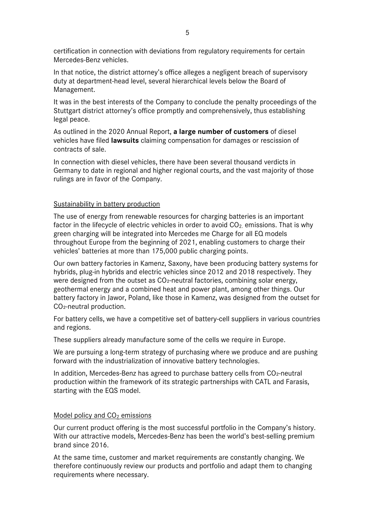certification in connection with deviations from regulatory requirements for certain Mercedes-Benz vehicles.

In that notice, the district attorney's office alleges a negligent breach of supervisory duty at department-head level, several hierarchical levels below the Board of Management.

It was in the best interests of the Company to conclude the penalty proceedings of the Stuttgart district attorney's office promptly and comprehensively, thus establishing legal peace.

As outlined in the 2020 Annual Report, **a large number of customers** of diesel vehicles have filed **lawsuits** claiming compensation for damages or rescission of contracts of sale.

In connection with diesel vehicles, there have been several thousand verdicts in Germany to date in regional and higher regional courts, and the vast majority of those rulings are in favor of the Company.

## Sustainability in battery production

The use of energy from renewable resources for charging batteries is an important factor in the lifecycle of electric vehicles in order to avoid  $CO<sub>2</sub>$  emissions. That is why green charging will be integrated into Mercedes me Charge for all EQ models throughout Europe from the beginning of 2021, enabling customers to charge their vehicles' batteries at more than 175,000 public charging points.

Our own battery factories in Kamenz, Saxony, have been producing battery systems for hybrids, plug-in hybrids and electric vehicles since 2012 and 2018 respectively. They were designed from the outset as  $CO<sub>z</sub>$ -neutral factories, combining solar energy, geothermal energy and a combined heat and power plant, among other things. Our battery factory in Jawor, Poland, like those in Kamenz, was designed from the outset for CO<sub>2</sub>-neutral production.

For battery cells, we have a competitive set of battery-cell suppliers in various countries and regions.

These suppliers already manufacture some of the cells we require in Europe.

We are pursuing a long-term strategy of purchasing where we produce and are pushing forward with the industrialization of innovative battery technologies.

In addition, Mercedes-Benz has agreed to purchase battery cells from CO<sub>2</sub>-neutral production within the framework of its strategic partnerships with CATL and Farasis, starting with the EQS model.

## Model policy and  $CO<sub>2</sub>$  emissions

Our current product offering is the most successful portfolio in the Company's history. With our attractive models, Mercedes-Benz has been the world's best-selling premium brand since 2016.

At the same time, customer and market requirements are constantly changing. We therefore continuously review our products and portfolio and adapt them to changing requirements where necessary.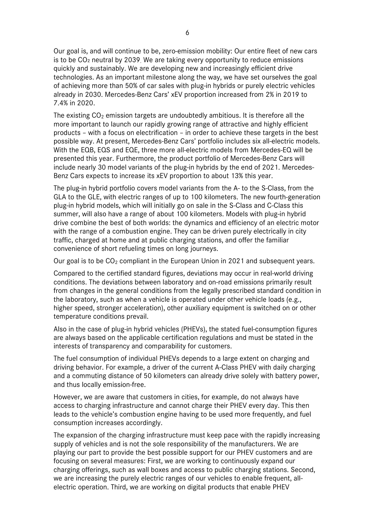Our goal is, and will continue to be, zero-emission mobility: Our entire fleet of new cars is to be CO₂ neutral by 2039. We are taking every opportunity to reduce emissions quickly and sustainably. We are developing new and increasingly efficient drive technologies. As an important milestone along the way, we have set ourselves the goal of achieving more than 50% of car sales with plug-in hybrids or purely electric vehicles already in 2030. Mercedes-Benz Cars' xEV proportion increased from 2% in 2019 to 7.4% in 2020.

The existing  $CO<sub>2</sub>$  emission targets are undoubtedly ambitious. It is therefore all the more important to launch our rapidly growing range of attractive and highly efficient products – with a focus on electrification – in order to achieve these targets in the best possible way. At present, Mercedes-Benz Cars' portfolio includes six all-electric models. With the EQB, EQS and EQE, three more all-electric models from Mercedes-EQ will be presented this year. Furthermore, the product portfolio of Mercedes-Benz Cars will include nearly 30 model variants of the plug-in hybrids by the end of 2021. Mercedes-Benz Cars expects to increase its xEV proportion to about 13% this year.

The plug-in hybrid portfolio covers model variants from the A- to the S-Class, from the GLA to the GLE, with electric ranges of up to 100 kilometers. The new fourth-generation plug-in hybrid models, which will initially go on sale in the S-Class and C-Class this summer, will also have a range of about 100 kilometers. Models with plug-in hybrid drive combine the best of both worlds: the dynamics and efficiency of an electric motor with the range of a combustion engine. They can be driven purely electrically in city traffic, charged at home and at public charging stations, and offer the familiar convenience of short refueling times on long journeys.

Our goal is to be  $CO<sub>2</sub>$  compliant in the European Union in 2021 and subsequent years.

Compared to the certified standard figures, deviations may occur in real-world driving conditions. The deviations between laboratory and on-road emissions primarily result from changes in the general conditions from the legally prescribed standard condition in the laboratory, such as when a vehicle is operated under other vehicle loads (e.g., higher speed, stronger acceleration), other auxiliary equipment is switched on or other temperature conditions prevail.

Also in the case of plug-in hybrid vehicles (PHEVs), the stated fuel-consumption figures are always based on the applicable certification regulations and must be stated in the interests of transparency and comparability for customers.

The fuel consumption of individual PHEVs depends to a large extent on charging and driving behavior. For example, a driver of the current A-Class PHEV with daily charging and a commuting distance of 50 kilometers can already drive solely with battery power, and thus locally emission-free.

However, we are aware that customers in cities, for example, do not always have access to charging infrastructure and cannot charge their PHEV every day. This then leads to the vehicle's combustion engine having to be used more frequently, and fuel consumption increases accordingly.

The expansion of the charging infrastructure must keep pace with the rapidly increasing supply of vehicles and is not the sole responsibility of the manufacturers. We are playing our part to provide the best possible support for our PHEV customers and are focusing on several measures: First, we are working to continuously expand our charging offerings, such as wall boxes and access to public charging stations. Second, we are increasing the purely electric ranges of our vehicles to enable frequent, allelectric operation. Third, we are working on digital products that enable PHEV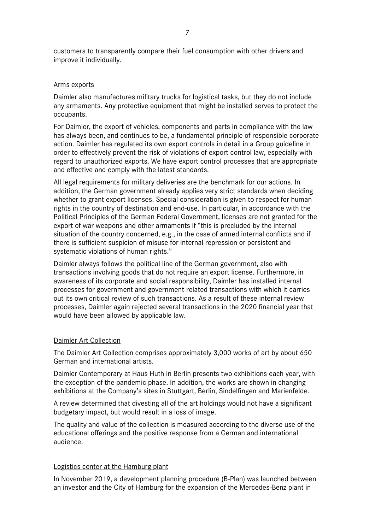customers to transparently compare their fuel consumption with other drivers and improve it individually.

#### Arms exports

Daimler also manufactures military trucks for logistical tasks, but they do not include any armaments. Any protective equipment that might be installed serves to protect the occupants.

For Daimler, the export of vehicles, components and parts in compliance with the law has always been, and continues to be, a fundamental principle of responsible corporate action. Daimler has regulated its own export controls in detail in a Group guideline in order to effectively prevent the risk of violations of export control law, especially with regard to unauthorized exports. We have export control processes that are appropriate and effective and comply with the latest standards.

All legal requirements for military deliveries are the benchmark for our actions. In addition, the German government already applies very strict standards when deciding whether to grant export licenses. Special consideration is given to respect for human rights in the country of destination and end-use. In particular, in accordance with the Political Principles of the German Federal Government, licenses are not granted for the export of war weapons and other armaments if "this is precluded by the internal situation of the country concerned, e.g., in the case of armed internal conflicts and if there is sufficient suspicion of misuse for internal repression or persistent and systematic violations of human rights."

Daimler always follows the political line of the German government, also with transactions involving goods that do not require an export license. Furthermore, in awareness of its corporate and social responsibility, Daimler has installed internal processes for government and government-related transactions with which it carries out its own critical review of such transactions. As a result of these internal review processes, Daimler again rejected several transactions in the 2020 financial year that would have been allowed by applicable law.

## Daimler Art Collection

The Daimler Art Collection comprises approximately 3,000 works of art by about 650 German and international artists.

Daimler Contemporary at Haus Huth in Berlin presents two exhibitions each year, with the exception of the pandemic phase. In addition, the works are shown in changing exhibitions at the Company's sites in Stuttgart, Berlin, Sindelfingen and Marienfelde.

A review determined that divesting all of the art holdings would not have a significant budgetary impact, but would result in a loss of image.

The quality and value of the collection is measured according to the diverse use of the educational offerings and the positive response from a German and international audience.

#### Logistics center at the Hamburg plant

In November 2019, a development planning procedure (B-Plan) was launched between an investor and the City of Hamburg for the expansion of the Mercedes-Benz plant in